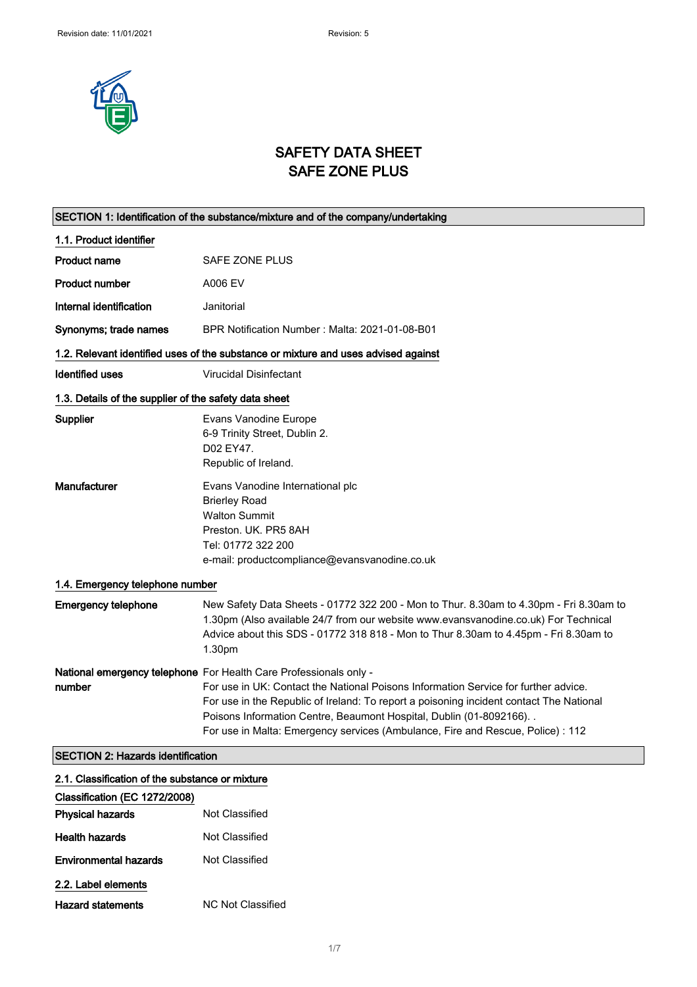

# SAFETY DATA SHEET SAFE ZONE PLUS

|                                                       | SECTION 1: Identification of the substance/mixture and of the company/undertaking                                                                                                                                                                                                                                                                                                                               |
|-------------------------------------------------------|-----------------------------------------------------------------------------------------------------------------------------------------------------------------------------------------------------------------------------------------------------------------------------------------------------------------------------------------------------------------------------------------------------------------|
| 1.1. Product identifier                               |                                                                                                                                                                                                                                                                                                                                                                                                                 |
| <b>Product name</b>                                   | <b>SAFE ZONE PLUS</b>                                                                                                                                                                                                                                                                                                                                                                                           |
| <b>Product number</b>                                 | A006 EV                                                                                                                                                                                                                                                                                                                                                                                                         |
| Internal identification                               | Janitorial                                                                                                                                                                                                                                                                                                                                                                                                      |
| Synonyms; trade names                                 | BPR Notification Number: Malta: 2021-01-08-B01                                                                                                                                                                                                                                                                                                                                                                  |
|                                                       | 1.2. Relevant identified uses of the substance or mixture and uses advised against                                                                                                                                                                                                                                                                                                                              |
| <b>Identified uses</b>                                | <b>Virucidal Disinfectant</b>                                                                                                                                                                                                                                                                                                                                                                                   |
| 1.3. Details of the supplier of the safety data sheet |                                                                                                                                                                                                                                                                                                                                                                                                                 |
| Supplier                                              | Evans Vanodine Europe<br>6-9 Trinity Street, Dublin 2.<br>D02 EY47.<br>Republic of Ireland.                                                                                                                                                                                                                                                                                                                     |
| <b>Manufacturer</b>                                   | Evans Vanodine International plc<br><b>Brierley Road</b><br><b>Walton Summit</b><br>Preston, UK, PR5 8AH<br>Tel: 01772 322 200<br>e-mail: productcompliance@evansvanodine.co.uk                                                                                                                                                                                                                                 |
| 1.4. Emergency telephone number                       |                                                                                                                                                                                                                                                                                                                                                                                                                 |
| <b>Emergency telephone</b>                            | New Safety Data Sheets - 01772 322 200 - Mon to Thur. 8.30am to 4.30pm - Fri 8.30am to<br>1.30pm (Also available 24/7 from our website www.evansvanodine.co.uk) For Technical<br>Advice about this SDS - 01772 318 818 - Mon to Thur 8.30am to 4.45pm - Fri 8.30am to<br>1.30pm                                                                                                                                 |
| number                                                | National emergency telephone For Health Care Professionals only -<br>For use in UK: Contact the National Poisons Information Service for further advice.<br>For use in the Republic of Ireland: To report a poisoning incident contact The National<br>Poisons Information Centre, Beaumont Hospital, Dublin (01-8092166). .<br>For use in Malta: Emergency services (Ambulance, Fire and Rescue, Police) : 112 |
| <b>SECTION 2: Hazards identification</b>              |                                                                                                                                                                                                                                                                                                                                                                                                                 |
| 2.1. Classification of the substance or mixture       |                                                                                                                                                                                                                                                                                                                                                                                                                 |

| Not Classified           |
|--------------------------|
| Not Classified           |
| Not Classified           |
|                          |
| <b>NC Not Classified</b> |
|                          |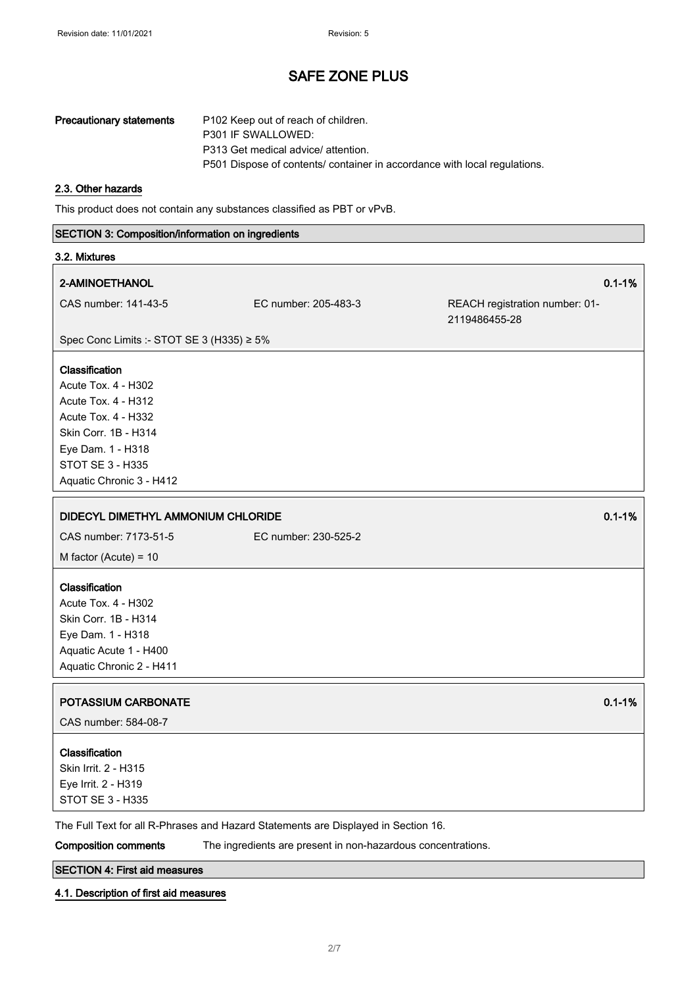| Precautionary statements | P102 Keep out of reach of children.<br>P301 IF SWALLOWED:                 |
|--------------------------|---------------------------------------------------------------------------|
|                          | P313 Get medical advice/ attention.                                       |
|                          | P501 Dispose of contents/ container in accordance with local regulations. |

#### 2.3. Other hazards

This product does not contain any substances classified as PBT or vPvB.

# SECTION 3: Composition/information on ingredients 3.2. Mixtures 2-AMINOETHANOL 0.1-1% CAS number: 141-43-5 EC number: 205-483-3 REACH registration number: 01- 2119486455-28 Spec Conc Limits :- STOT SE 3 (H335) ≥ 5% Classification Acute Tox. 4 - H302 Acute Tox. 4 - H312 Acute Tox. 4 - H332 Skin Corr. 1B - H314 Eye Dam. 1 - H318 STOT SE 3 - H335 Aquatic Chronic 3 - H412 DIDECYL DIMETHYL AMMONIUM CHLORIDE 0.1-1% CAS number: 7173-51-5 EC number: 230-525-2 M factor (Acute) = 10 Classification Acute Tox. 4 - H302 Skin Corr. 1B - H314 Eye Dam. 1 - H318 Aquatic Acute 1 - H400 Aquatic Chronic 2 - H411 POTASSIUM CARBONATE **DE L'AUDIT DE L'AUDIT DE L'AUDIT DE L'AUDIT DE L'AUDIT DE L'AUDIT DE L'AUDIT DE L'AUDIT DE L'AU** CAS number: 584-08-7 Classification Skin Irrit. 2 - H315 Eye Irrit. 2 - H319 STOT SE 3 - H335

The Full Text for all R-Phrases and Hazard Statements are Displayed in Section 16.

Composition comments The ingredients are present in non-hazardous concentrations.

### SECTION 4: First aid measures

#### 4.1. Description of first aid measures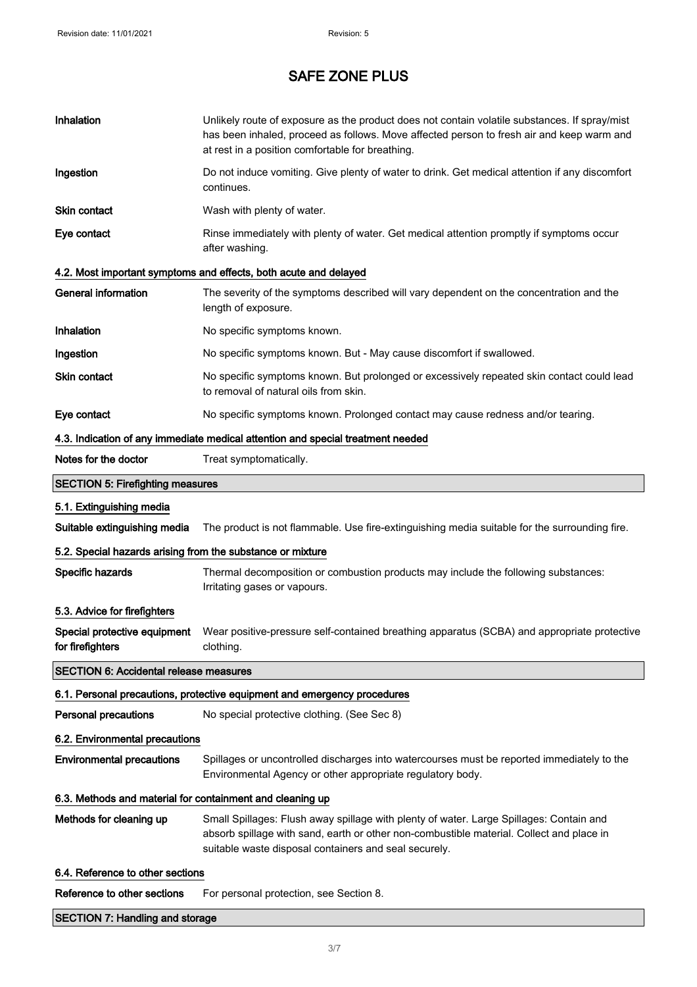| Inhalation                                                 | Unlikely route of exposure as the product does not contain volatile substances. If spray/mist<br>has been inhaled, proceed as follows. Move affected person to fresh air and keep warm and<br>at rest in a position comfortable for breathing. |
|------------------------------------------------------------|------------------------------------------------------------------------------------------------------------------------------------------------------------------------------------------------------------------------------------------------|
| Ingestion                                                  | Do not induce vomiting. Give plenty of water to drink. Get medical attention if any discomfort<br>continues.                                                                                                                                   |
| <b>Skin contact</b>                                        | Wash with plenty of water.                                                                                                                                                                                                                     |
| Eye contact                                                | Rinse immediately with plenty of water. Get medical attention promptly if symptoms occur<br>after washing.                                                                                                                                     |
|                                                            | 4.2. Most important symptoms and effects, both acute and delayed                                                                                                                                                                               |
| General information                                        | The severity of the symptoms described will vary dependent on the concentration and the<br>length of exposure.                                                                                                                                 |
| Inhalation                                                 | No specific symptoms known.                                                                                                                                                                                                                    |
| Ingestion                                                  | No specific symptoms known. But - May cause discomfort if swallowed.                                                                                                                                                                           |
| <b>Skin contact</b>                                        | No specific symptoms known. But prolonged or excessively repeated skin contact could lead<br>to removal of natural oils from skin.                                                                                                             |
| Eye contact                                                | No specific symptoms known. Prolonged contact may cause redness and/or tearing.                                                                                                                                                                |
|                                                            | 4.3. Indication of any immediate medical attention and special treatment needed                                                                                                                                                                |
| Notes for the doctor                                       | Treat symptomatically.                                                                                                                                                                                                                         |
| <b>SECTION 5: Firefighting measures</b>                    |                                                                                                                                                                                                                                                |
| 5.1. Extinguishing media                                   |                                                                                                                                                                                                                                                |
| Suitable extinguishing media                               | The product is not flammable. Use fire-extinguishing media suitable for the surrounding fire.                                                                                                                                                  |
| 5.2. Special hazards arising from the substance or mixture |                                                                                                                                                                                                                                                |
| Specific hazards                                           | Thermal decomposition or combustion products may include the following substances:<br>Irritating gases or vapours.                                                                                                                             |
| 5.3. Advice for firefighters                               |                                                                                                                                                                                                                                                |
| Special protective equipment<br>for firefighters           | Wear positive-pressure self-contained breathing apparatus (SCBA) and appropriate protective<br>clothing.                                                                                                                                       |
| <b>SECTION 6: Accidental release measures</b>              |                                                                                                                                                                                                                                                |
|                                                            | 6.1. Personal precautions, protective equipment and emergency procedures                                                                                                                                                                       |
| <b>Personal precautions</b>                                | No special protective clothing. (See Sec 8)                                                                                                                                                                                                    |
| 6.2. Environmental precautions                             |                                                                                                                                                                                                                                                |
| <b>Environmental precautions</b>                           | Spillages or uncontrolled discharges into watercourses must be reported immediately to the<br>Environmental Agency or other appropriate regulatory body.                                                                                       |
| 6.3. Methods and material for containment and cleaning up  |                                                                                                                                                                                                                                                |
| Methods for cleaning up                                    | Small Spillages: Flush away spillage with plenty of water. Large Spillages: Contain and<br>absorb spillage with sand, earth or other non-combustible material. Collect and place in<br>suitable waste disposal containers and seal securely.   |
| 6.4. Reference to other sections                           |                                                                                                                                                                                                                                                |
| Reference to other sections                                | For personal protection, see Section 8.                                                                                                                                                                                                        |
| <b>SECTION 7: Handling and storage</b>                     |                                                                                                                                                                                                                                                |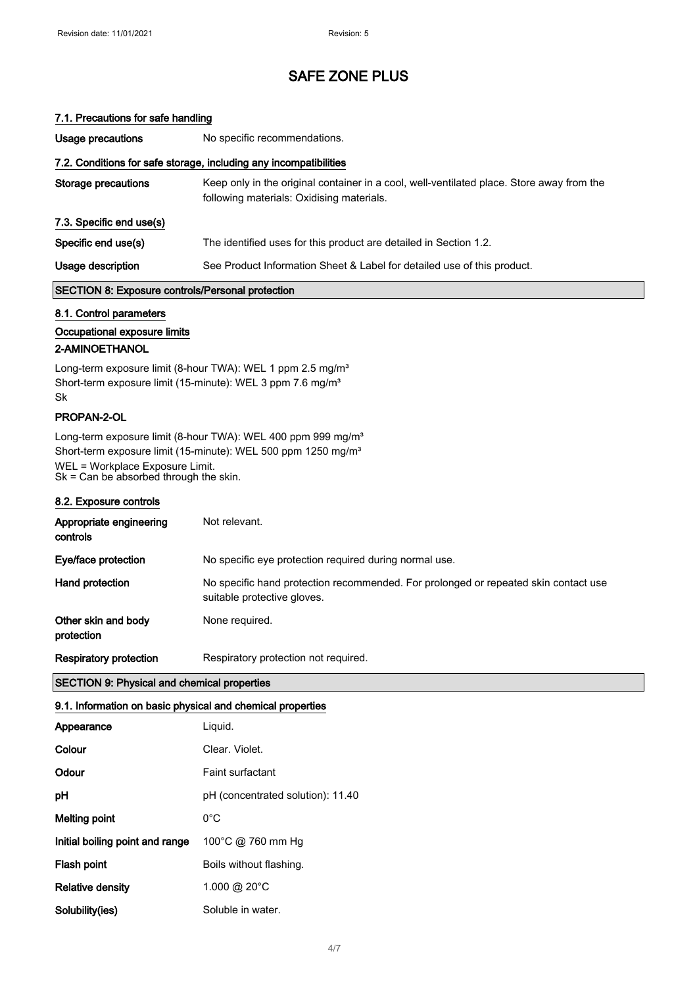### 7.1. Precautions for safe handling

| Usage precautions                                       | No specific recommendations.                                                                                                           |
|---------------------------------------------------------|----------------------------------------------------------------------------------------------------------------------------------------|
|                                                         | 7.2. Conditions for safe storage, including any incompatibilities                                                                      |
| <b>Storage precautions</b>                              | Keep only in the original container in a cool, well-ventilated place. Store away from the<br>following materials: Oxidising materials. |
| 7.3. Specific end use(s)                                |                                                                                                                                        |
| Specific end use(s)                                     | The identified uses for this product are detailed in Section 1.2.                                                                      |
| Usage description                                       | See Product Information Sheet & Label for detailed use of this product.                                                                |
| <b>SECTION 8: Exposure controls/Personal protection</b> |                                                                                                                                        |
| 8.1. Control parameters                                 |                                                                                                                                        |
| Occupational exposure limits                            |                                                                                                                                        |
| 2-AMINOETHANOL                                          |                                                                                                                                        |

Long-term exposure limit (8-hour TWA): WEL 1 ppm 2.5 mg/m<sup>3</sup> Short-term exposure limit (15-minute): WEL 3 ppm 7.6 mg/m<sup>3</sup> Sk

### PROPAN-2-OL

 $\overline{\phantom{a}}$ 

Long-term exposure limit (8-hour TWA): WEL 400 ppm 999 mg/m<sup>3</sup> Short-term exposure limit (15-minute): WEL 500 ppm 1250 mg/m<sup>3</sup> WEL = Workplace Exposure Limit. Sk = Can be absorbed through the skin.

### 8.2. Exposure controls

| Appropriate engineering<br>controls | Not relevant.                                                                                                      |
|-------------------------------------|--------------------------------------------------------------------------------------------------------------------|
| Eye/face protection                 | No specific eye protection required during normal use.                                                             |
| Hand protection                     | No specific hand protection recommended. For prolonged or repeated skin contact use<br>suitable protective gloves. |
| Other skin and body<br>protection   | None required.                                                                                                     |
| <b>Respiratory protection</b>       | Respiratory protection not required.                                                                               |

### SECTION 9: Physical and chemical properties

### 9.1. Information on basic physical and chemical properties

| Appearance                      | Liquid.                           |
|---------------------------------|-----------------------------------|
| Colour                          | Clear, Violet.                    |
| Odour                           | Faint surfactant                  |
| рH                              | pH (concentrated solution): 11.40 |
| Melting point                   | $0^{\circ}$ C                     |
| Initial boiling point and range | 100°C @ 760 mm Hg                 |
| Flash point                     | Boils without flashing.           |
| <b>Relative density</b>         | 1.000 @ 20 $^{\circ}$ C           |
| Solubility(ies)                 | Soluble in water.                 |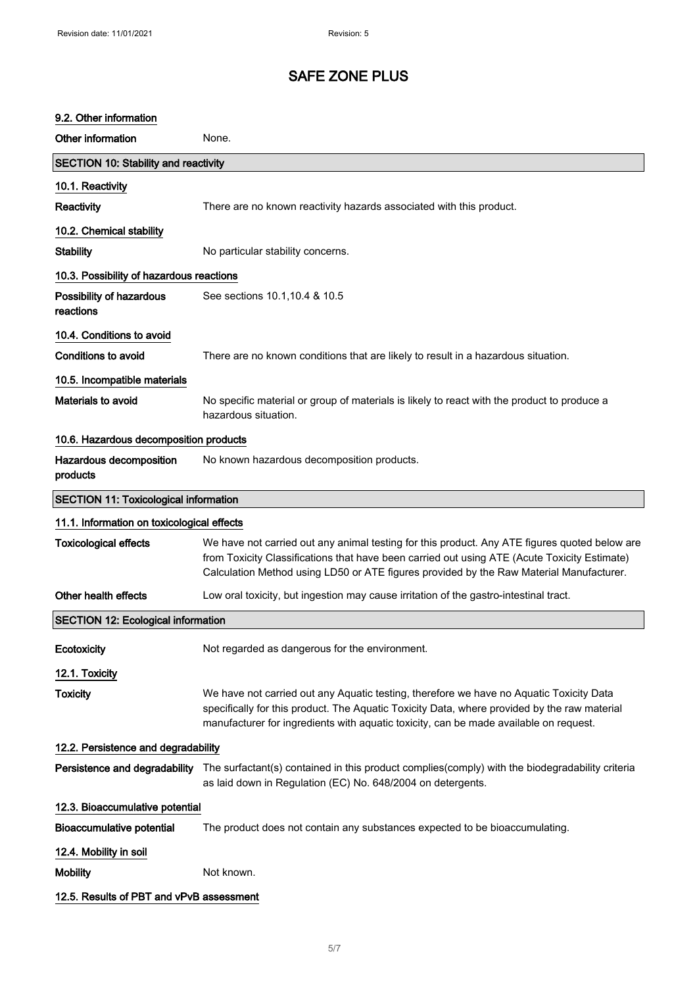### 9.2. Other information

| Other information                            | None.                                                                                                                                                                                                                                                                                    |
|----------------------------------------------|------------------------------------------------------------------------------------------------------------------------------------------------------------------------------------------------------------------------------------------------------------------------------------------|
| <b>SECTION 10: Stability and reactivity</b>  |                                                                                                                                                                                                                                                                                          |
| 10.1. Reactivity                             |                                                                                                                                                                                                                                                                                          |
| Reactivity                                   | There are no known reactivity hazards associated with this product.                                                                                                                                                                                                                      |
| 10.2. Chemical stability                     |                                                                                                                                                                                                                                                                                          |
| <b>Stability</b>                             | No particular stability concerns.                                                                                                                                                                                                                                                        |
| 10.3. Possibility of hazardous reactions     |                                                                                                                                                                                                                                                                                          |
| Possibility of hazardous<br>reactions        | See sections 10.1, 10.4 & 10.5                                                                                                                                                                                                                                                           |
| 10.4. Conditions to avoid                    |                                                                                                                                                                                                                                                                                          |
| <b>Conditions to avoid</b>                   | There are no known conditions that are likely to result in a hazardous situation.                                                                                                                                                                                                        |
| 10.5. Incompatible materials                 |                                                                                                                                                                                                                                                                                          |
| Materials to avoid                           | No specific material or group of materials is likely to react with the product to produce a<br>hazardous situation.                                                                                                                                                                      |
| 10.6. Hazardous decomposition products       |                                                                                                                                                                                                                                                                                          |
| Hazardous decomposition<br>products          | No known hazardous decomposition products.                                                                                                                                                                                                                                               |
| <b>SECTION 11: Toxicological information</b> |                                                                                                                                                                                                                                                                                          |
| 11.1. Information on toxicological effects   |                                                                                                                                                                                                                                                                                          |
| <b>Toxicological effects</b>                 | We have not carried out any animal testing for this product. Any ATE figures quoted below are<br>from Toxicity Classifications that have been carried out using ATE (Acute Toxicity Estimate)<br>Calculation Method using LD50 or ATE figures provided by the Raw Material Manufacturer. |
| Other health effects                         | Low oral toxicity, but ingestion may cause irritation of the gastro-intestinal tract.                                                                                                                                                                                                    |
| <b>SECTION 12: Ecological information</b>    |                                                                                                                                                                                                                                                                                          |
| Ecotoxicity                                  | Not regarded as dangerous for the environment.                                                                                                                                                                                                                                           |
| 12.1. Toxicity                               |                                                                                                                                                                                                                                                                                          |
| <b>Toxicity</b>                              | We have not carried out any Aquatic testing, therefore we have no Aquatic Toxicity Data<br>specifically for this product. The Aquatic Toxicity Data, where provided by the raw material<br>manufacturer for ingredients with aquatic toxicity, can be made available on request.         |
| 12.2. Persistence and degradability          |                                                                                                                                                                                                                                                                                          |
| Persistence and degradability                | The surfactant(s) contained in this product complies(comply) with the biodegradability criteria<br>as laid down in Regulation (EC) No. 648/2004 on detergents.                                                                                                                           |
| 12.3. Bioaccumulative potential              |                                                                                                                                                                                                                                                                                          |
| <b>Bioaccumulative potential</b>             | The product does not contain any substances expected to be bioaccumulating.                                                                                                                                                                                                              |
| 12.4. Mobility in soil                       |                                                                                                                                                                                                                                                                                          |
| <b>Mobility</b>                              | Not known.                                                                                                                                                                                                                                                                               |
| 12.5. Results of PBT and vPvB assessment     |                                                                                                                                                                                                                                                                                          |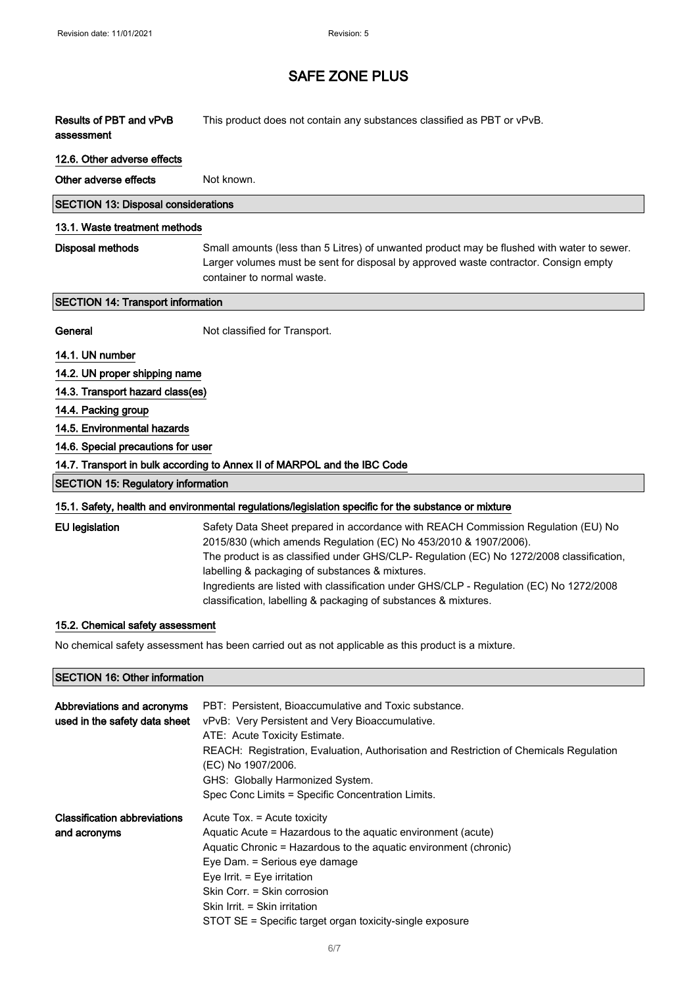| Results of PBT and vPvB<br>assessment                                    | This product does not contain any substances classified as PBT or vPvB.                                                                                                                                                                                                                                                                                                                                                                                            |
|--------------------------------------------------------------------------|--------------------------------------------------------------------------------------------------------------------------------------------------------------------------------------------------------------------------------------------------------------------------------------------------------------------------------------------------------------------------------------------------------------------------------------------------------------------|
| 12.6. Other adverse effects                                              |                                                                                                                                                                                                                                                                                                                                                                                                                                                                    |
| Other adverse effects                                                    | Not known.                                                                                                                                                                                                                                                                                                                                                                                                                                                         |
| <b>SECTION 13: Disposal considerations</b>                               |                                                                                                                                                                                                                                                                                                                                                                                                                                                                    |
| 13.1. Waste treatment methods                                            |                                                                                                                                                                                                                                                                                                                                                                                                                                                                    |
| Disposal methods                                                         | Small amounts (less than 5 Litres) of unwanted product may be flushed with water to sewer.<br>Larger volumes must be sent for disposal by approved waste contractor. Consign empty<br>container to normal waste.                                                                                                                                                                                                                                                   |
| <b>SECTION 14: Transport information</b>                                 |                                                                                                                                                                                                                                                                                                                                                                                                                                                                    |
| General                                                                  | Not classified for Transport.                                                                                                                                                                                                                                                                                                                                                                                                                                      |
| 14.1. UN number                                                          |                                                                                                                                                                                                                                                                                                                                                                                                                                                                    |
| 14.2. UN proper shipping name                                            |                                                                                                                                                                                                                                                                                                                                                                                                                                                                    |
| 14.3. Transport hazard class(es)                                         |                                                                                                                                                                                                                                                                                                                                                                                                                                                                    |
| 14.4. Packing group                                                      |                                                                                                                                                                                                                                                                                                                                                                                                                                                                    |
| 14.5. Environmental hazards                                              |                                                                                                                                                                                                                                                                                                                                                                                                                                                                    |
| 14.6. Special precautions for user                                       |                                                                                                                                                                                                                                                                                                                                                                                                                                                                    |
| 14.7. Transport in bulk according to Annex II of MARPOL and the IBC Code |                                                                                                                                                                                                                                                                                                                                                                                                                                                                    |
| <b>SECTION 15: Regulatory information</b>                                |                                                                                                                                                                                                                                                                                                                                                                                                                                                                    |
|                                                                          | 15.1. Safety, health and environmental regulations/legislation specific for the substance or mixture                                                                                                                                                                                                                                                                                                                                                               |
| <b>EU</b> legislation                                                    | Safety Data Sheet prepared in accordance with REACH Commission Regulation (EU) No<br>2015/830 (which amends Regulation (EC) No 453/2010 & 1907/2006).<br>The product is as classified under GHS/CLP- Regulation (EC) No 1272/2008 classification,<br>labelling & packaging of substances & mixtures.<br>Ingredients are listed with classification under GHS/CLP - Regulation (EC) No 1272/2008<br>classification, labelling & packaging of substances & mixtures. |
| 15.2. Chemical safety assessment                                         |                                                                                                                                                                                                                                                                                                                                                                                                                                                                    |
|                                                                          | No chemical safety assessment has been carried out as not applicable as this product is a mixture.                                                                                                                                                                                                                                                                                                                                                                 |

### SECTION 16: Other information

| Abbreviations and acronyms<br>used in the safety data sheet | PBT: Persistent, Bioaccumulative and Toxic substance.<br>vPvB: Very Persistent and Very Bioaccumulative.<br>ATE: Acute Toxicity Estimate.<br>REACH: Registration, Evaluation, Authorisation and Restriction of Chemicals Regulation<br>(EC) No 1907/2006.<br>GHS: Globally Harmonized System.<br>Spec Conc Limits = Specific Concentration Limits.          |
|-------------------------------------------------------------|-------------------------------------------------------------------------------------------------------------------------------------------------------------------------------------------------------------------------------------------------------------------------------------------------------------------------------------------------------------|
| <b>Classification abbreviations</b><br>and acronyms         | Acute Tox. = Acute toxicity<br>Aquatic Acute = Hazardous to the aquatic environment (acute)<br>Aquatic Chronic = Hazardous to the aquatic environment (chronic)<br>Eye Dam. = Serious eye damage<br>Eye Irrit. = Eye irritation<br>Skin Corr. = Skin corrosion<br>Skin Irrit. = Skin irritation<br>STOT SE = Specific target organ toxicity-single exposure |